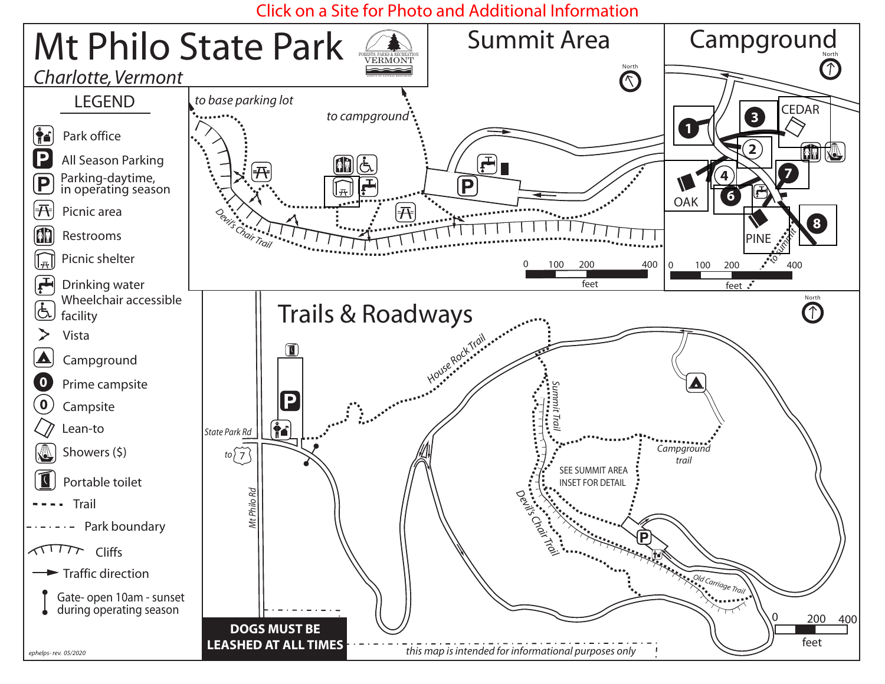# Click on a Site for Photo and Additional Information